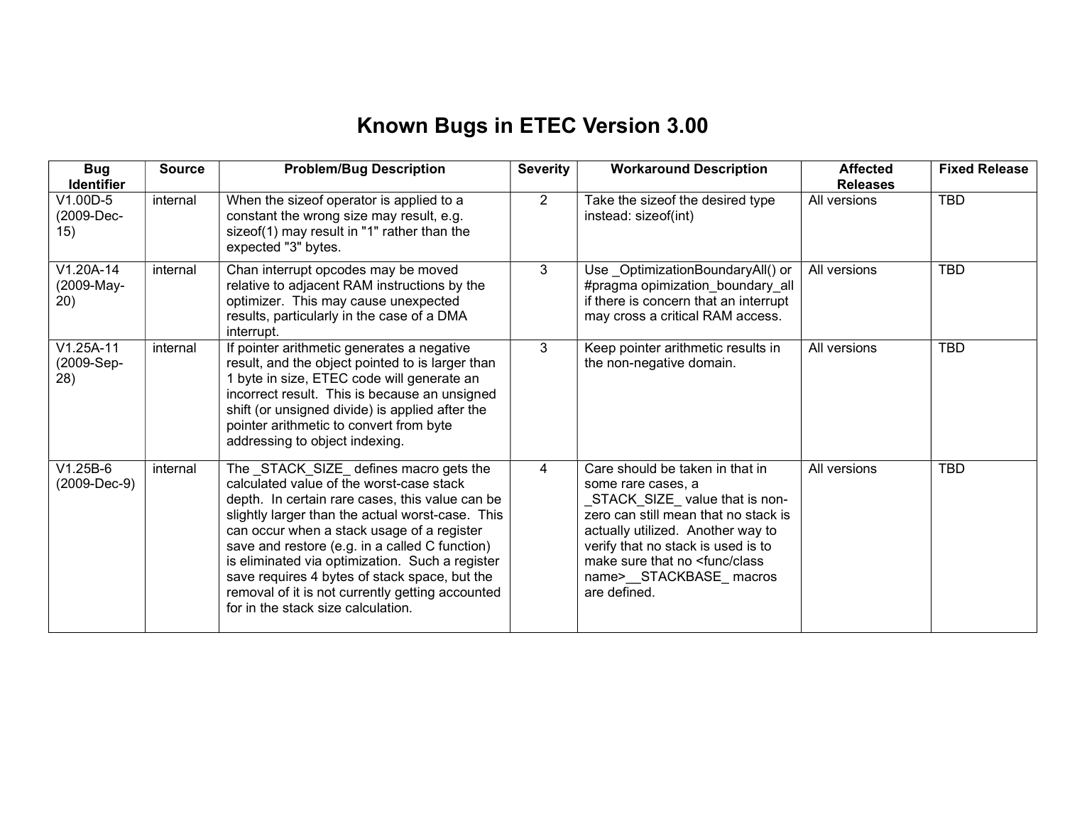## Known Bugs in ETEC Version 3.00

| <b>Bug</b><br><b>Identifier</b>  | <b>Source</b> | <b>Problem/Bug Description</b>                                                                                                                                                                                                                                                                                                                                                                                                                                                         | <b>Severity</b> | <b>Workaround Description</b>                                                                                                                                                                                                                                                                       | <b>Affected</b><br><b>Releases</b> | <b>Fixed Release</b> |
|----------------------------------|---------------|----------------------------------------------------------------------------------------------------------------------------------------------------------------------------------------------------------------------------------------------------------------------------------------------------------------------------------------------------------------------------------------------------------------------------------------------------------------------------------------|-----------------|-----------------------------------------------------------------------------------------------------------------------------------------------------------------------------------------------------------------------------------------------------------------------------------------------------|------------------------------------|----------------------|
| $V1.00D-5$<br>(2009-Dec-<br>15)  | internal      | When the sizeof operator is applied to a<br>constant the wrong size may result, e.g.<br>sizeof(1) may result in "1" rather than the<br>expected "3" bytes.                                                                                                                                                                                                                                                                                                                             | $\overline{2}$  | Take the sizeof the desired type<br>instead: sizeof(int)                                                                                                                                                                                                                                            | All versions                       | <b>TBD</b>           |
| V1.20A-14<br>(2009-May-<br>20)   | internal      | Chan interrupt opcodes may be moved<br>relative to adjacent RAM instructions by the<br>optimizer. This may cause unexpected<br>results, particularly in the case of a DMA<br>interrupt.                                                                                                                                                                                                                                                                                                | 3               | Use OptimizationBoundaryAll() or<br>#pragma opimization_boundary_all<br>if there is concern that an interrupt<br>may cross a critical RAM access.                                                                                                                                                   | All versions                       | <b>TBD</b>           |
| $V1.25A-11$<br>(2009-Sep-<br>28) | internal      | If pointer arithmetic generates a negative<br>result, and the object pointed to is larger than<br>1 byte in size, ETEC code will generate an<br>incorrect result. This is because an unsigned<br>shift (or unsigned divide) is applied after the<br>pointer arithmetic to convert from byte<br>addressing to object indexing.                                                                                                                                                          | 3               | Keep pointer arithmetic results in<br>the non-negative domain.                                                                                                                                                                                                                                      | All versions                       | <b>TBD</b>           |
| $V1.25B-6$<br>(2009-Dec-9)       | internal      | The STACK SIZE defines macro gets the<br>calculated value of the worst-case stack<br>depth. In certain rare cases, this value can be<br>slightly larger than the actual worst-case. This<br>can occur when a stack usage of a register<br>save and restore (e.g. in a called C function)<br>is eliminated via optimization. Such a register<br>save requires 4 bytes of stack space, but the<br>removal of it is not currently getting accounted<br>for in the stack size calculation. | 4               | Care should be taken in that in<br>some rare cases, a<br>STACK_SIZE_value that is non-<br>zero can still mean that no stack is<br>actually utilized. Another way to<br>verify that no stack is used is to<br>make sure that no <func class<br="">name&gt;__STACKBASE_macros<br/>are defined.</func> | All versions                       | <b>TBD</b>           |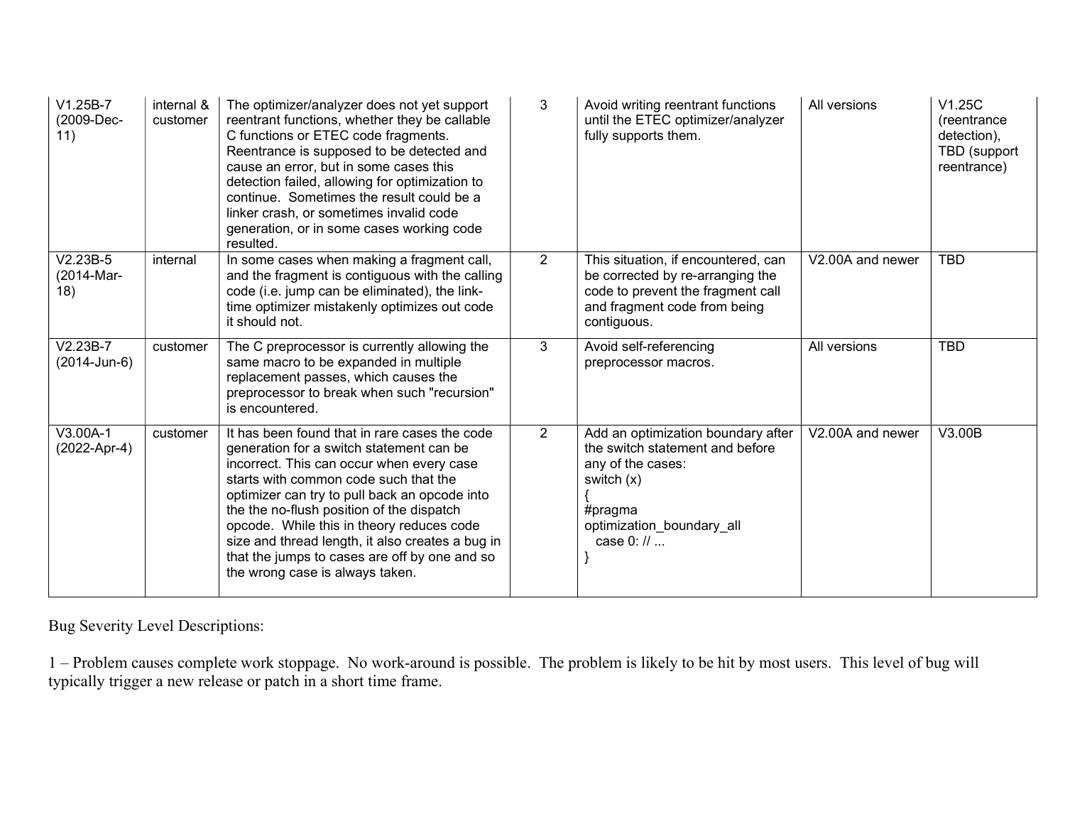| $V1.25B-7$<br>(2009-Dec-<br>11) | internal &<br>customer | The optimizer/analyzer does not yet support<br>reentrant functions, whether they be callable<br>C functions or ETEC code fragments.<br>Reentrance is supposed to be detected and<br>cause an error, but in some cases this<br>detection failed, allowing for optimization to<br>continue. Sometimes the result could be a<br>linker crash, or sometimes invalid code<br>generation, or in some cases working code<br>resulted.                                     | 3              | Avoid writing reentrant functions<br>until the ETEC optimizer/analyzer<br>fully supports them.                                                                              | All versions     | V1.25C<br>(reentrance)<br>detection),<br>TBD (support<br>reentrance) |
|---------------------------------|------------------------|--------------------------------------------------------------------------------------------------------------------------------------------------------------------------------------------------------------------------------------------------------------------------------------------------------------------------------------------------------------------------------------------------------------------------------------------------------------------|----------------|-----------------------------------------------------------------------------------------------------------------------------------------------------------------------------|------------------|----------------------------------------------------------------------|
| $V2.23B-5$<br>(2014-Mar-<br>18) | internal               | In some cases when making a fragment call,<br>and the fragment is contiguous with the calling<br>code (i.e. jump can be eliminated), the link-<br>time optimizer mistakenly optimizes out code<br>it should not.                                                                                                                                                                                                                                                   | $\overline{2}$ | This situation, if encountered, can<br>be corrected by re-arranging the<br>code to prevent the fragment call<br>and fragment code from being<br>contiguous.                 | V2.00A and newer | <b>TBD</b>                                                           |
| $V2.23B-7$<br>(2014-Jun-6)      | customer               | The C preprocessor is currently allowing the<br>same macro to be expanded in multiple<br>replacement passes, which causes the<br>preprocessor to break when such "recursion"<br>is encountered.                                                                                                                                                                                                                                                                    | 3              | Avoid self-referencing<br>preprocessor macros.                                                                                                                              | All versions     | <b>TBD</b>                                                           |
| V3.00A-1<br>(2022-Apr-4)        | customer               | It has been found that in rare cases the code<br>generation for a switch statement can be<br>incorrect. This can occur when every case<br>starts with common code such that the<br>optimizer can try to pull back an opcode into<br>the the no-flush position of the dispatch<br>opcode. While this in theory reduces code<br>size and thread length, it also creates a bug in<br>that the jumps to cases are off by one and so<br>the wrong case is always taken. | $\overline{2}$ | Add an optimization boundary after<br>the switch statement and before<br>any of the cases:<br>switch $(x)$<br>#pragma<br>optimization boundary all<br>case $0: \mathcal{U}$ | V2.00A and newer | V3.00B                                                               |

Bug Severity Level Descriptions:

1 – Problem causes complete work stoppage. No work-around is possible. The problem is likely to be hit by most users. This level of bug will typically trigger a new release or patch in a short time frame.